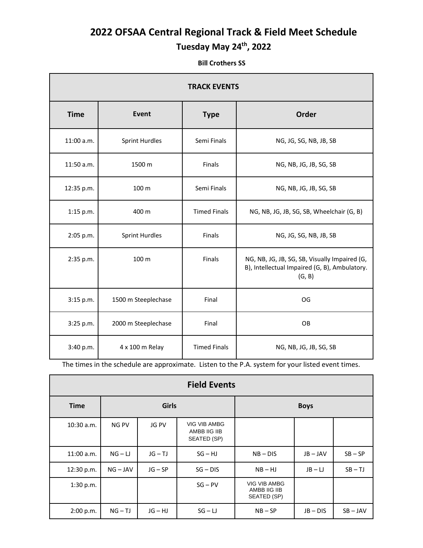## **2022 OFSAA Central Regional Track & Field Meet Schedule Tuesday May 24th, 2022**

 **Bill Crothers SS**

| <b>TRACK EVENTS</b> |                       |                     |                                                                                                          |  |
|---------------------|-----------------------|---------------------|----------------------------------------------------------------------------------------------------------|--|
| <b>Time</b>         | <b>Event</b>          | <b>Type</b>         | Order                                                                                                    |  |
| 11:00 a.m.          | <b>Sprint Hurdles</b> | Semi Finals         | NG, JG, SG, NB, JB, SB                                                                                   |  |
| 11:50 a.m.          | 1500 m                | Finals              | NG, NB, JG, JB, SG, SB                                                                                   |  |
| 12:35 p.m.          | 100 m                 | Semi Finals         | NG, NB, JG, JB, SG, SB                                                                                   |  |
| 1:15 p.m.           | 400 m                 | <b>Timed Finals</b> | NG, NB, JG, JB, SG, SB, Wheelchair (G, B)                                                                |  |
| 2:05 p.m.           | <b>Sprint Hurdles</b> | Finals              | NG, JG, SG, NB, JB, SB                                                                                   |  |
| 2:35 p.m.           | 100 m                 | Finals              | NG, NB, JG, JB, SG, SB, Visually Impaired (G,<br>B), Intellectual Impaired (G, B), Ambulatory.<br>(G, B) |  |
| 3:15 p.m.           | 1500 m Steeplechase   | Final               | OG                                                                                                       |  |
| 3:25 p.m.           | 2000 m Steeplechase   | Final               | OB                                                                                                       |  |
| 3:40 p.m.           | 4 x 100 m Relay       | <b>Timed Finals</b> | NG, NB, JG, JB, SG, SB                                                                                   |  |

The times in the schedule are approximate. Listen to the P.A. system for your listed event times.

| <b>Field Events</b> |              |              |                                                    |                                                    |            |            |
|---------------------|--------------|--------------|----------------------------------------------------|----------------------------------------------------|------------|------------|
| <b>Time</b>         | <b>Girls</b> |              |                                                    | <b>Boys</b>                                        |            |            |
| 10:30 a.m.          | NG PV        | <b>JG PV</b> | <b>VIG VIB AMBG</b><br>AMBB IIG IIB<br>SEATED (SP) |                                                    |            |            |
| 11:00 a.m.          | $NG - LI$    | $JG-TJ$      | $SG - HJ$                                          | $NB - DIS$                                         | $JB - JAV$ | $SB - SP$  |
| 12:30 p.m.          | $NG - JAV$   | $JG - SP$    | $SG - DIS$                                         | $NB - HJ$                                          | $JB - LI$  | $SB - TJ$  |
| 1:30 p.m.           |              |              | $SG - PV$                                          | <b>VIG VIB AMBG</b><br>AMBB IIG IIB<br>SEATED (SP) |            |            |
| 2:00 p.m.           | $NG - TJ$    | $JG - HJ$    | $SG - LI$                                          | $NB - SP$                                          | $JB - DIS$ | $SB - JAV$ |